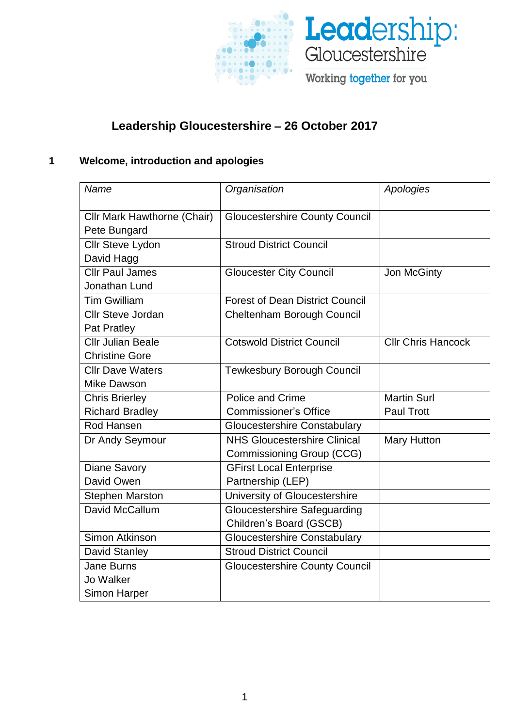



# **Leadership Gloucestershire** – **26 October 2017**

# **1 Welcome, introduction and apologies**

| Name                                        | Organisation                           | Apologies          |
|---------------------------------------------|----------------------------------------|--------------------|
|                                             |                                        |                    |
| Cllr Mark Hawthorne (Chair)<br>Pete Bungard | <b>Gloucestershire County Council</b>  |                    |
| Cllr Steve Lydon                            | <b>Stroud District Council</b>         |                    |
| David Hagg                                  |                                        |                    |
| <b>Cllr Paul James</b>                      | <b>Gloucester City Council</b>         | Jon McGinty        |
| Jonathan Lund                               |                                        |                    |
| <b>Tim Gwilliam</b>                         | <b>Forest of Dean District Council</b> |                    |
| <b>Cllr Steve Jordan</b>                    | Cheltenham Borough Council             |                    |
| Pat Pratley                                 |                                        |                    |
| <b>Cllr Julian Beale</b>                    | <b>Cotswold District Council</b>       | Cllr Chris Hancock |
| <b>Christine Gore</b>                       |                                        |                    |
| <b>Cllr Dave Waters</b>                     | <b>Tewkesbury Borough Council</b>      |                    |
| Mike Dawson                                 |                                        |                    |
| <b>Chris Brierley</b>                       | Police and Crime                       | <b>Martin Surl</b> |
| <b>Richard Bradley</b>                      | <b>Commissioner's Office</b>           | <b>Paul Trott</b>  |
| Rod Hansen                                  | <b>Gloucestershire Constabulary</b>    |                    |
| Dr Andy Seymour                             | <b>NHS Gloucestershire Clinical</b>    | <b>Mary Hutton</b> |
|                                             | Commissioning Group (CCG)              |                    |
| <b>Diane Savory</b>                         | <b>GFirst Local Enterprise</b>         |                    |
| David Owen                                  | Partnership (LEP)                      |                    |
| <b>Stephen Marston</b>                      |                                        |                    |
|                                             | University of Gloucestershire          |                    |
| David McCallum                              | <b>Gloucestershire Safeguarding</b>    |                    |
|                                             | Children's Board (GSCB)                |                    |
| Simon Atkinson                              | <b>Gloucestershire Constabulary</b>    |                    |
| David Stanley                               | <b>Stroud District Council</b>         |                    |
| <b>Jane Burns</b>                           | <b>Gloucestershire County Council</b>  |                    |
| Jo Walker                                   |                                        |                    |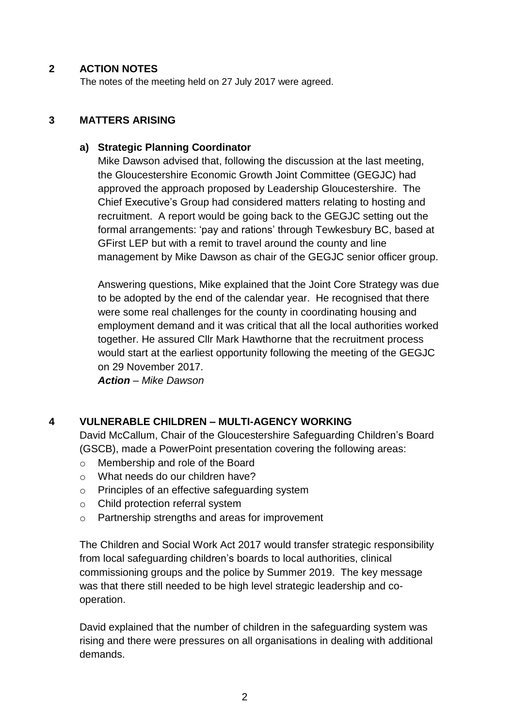#### **2 ACTION NOTES**

The notes of the meeting held on 27 July 2017 were agreed.

#### **3 MATTERS ARISING**

#### **a) Strategic Planning Coordinator**

Mike Dawson advised that, following the discussion at the last meeting, the Gloucestershire Economic Growth Joint Committee (GEGJC) had approved the approach proposed by Leadership Gloucestershire. The Chief Executive's Group had considered matters relating to hosting and recruitment. A report would be going back to the GEGJC setting out the formal arrangements: 'pay and rations' through Tewkesbury BC, based at GFirst LEP but with a remit to travel around the county and line management by Mike Dawson as chair of the GEGJC senior officer group.

Answering questions, Mike explained that the Joint Core Strategy was due to be adopted by the end of the calendar year. He recognised that there were some real challenges for the county in coordinating housing and employment demand and it was critical that all the local authorities worked together. He assured Cllr Mark Hawthorne that the recruitment process would start at the earliest opportunity following the meeting of the GEGJC on 29 November 2017.

*Action – Mike Dawson*

#### **4 VULNERABLE CHILDREN – MULTI-AGENCY WORKING**

David McCallum, Chair of the Gloucestershire Safeguarding Children's Board (GSCB), made a PowerPoint presentation covering the following areas:

- o Membership and role of the Board
- o What needs do our children have?
- o Principles of an effective safeguarding system
- o Child protection referral system
- o Partnership strengths and areas for improvement

The Children and Social Work Act 2017 would transfer strategic responsibility from local safeguarding children's boards to local authorities, clinical commissioning groups and the police by Summer 2019. The key message was that there still needed to be high level strategic leadership and cooperation.

David explained that the number of children in the safeguarding system was rising and there were pressures on all organisations in dealing with additional demands.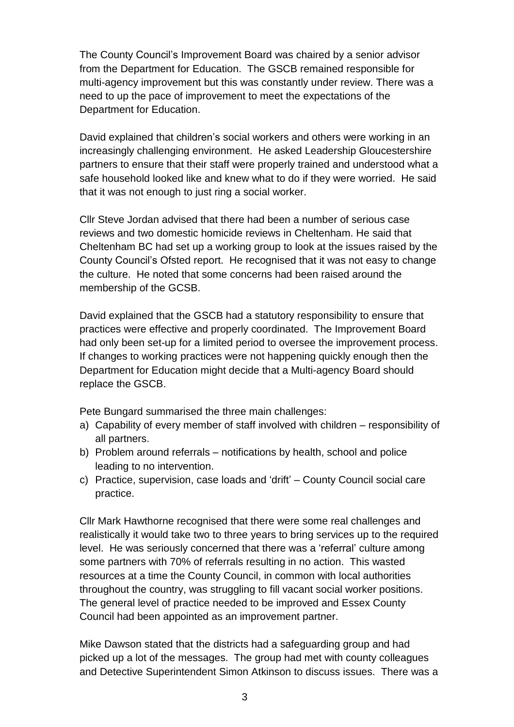The County Council's Improvement Board was chaired by a senior advisor from the Department for Education. The GSCB remained responsible for multi-agency improvement but this was constantly under review. There was a need to up the pace of improvement to meet the expectations of the Department for Education.

David explained that children's social workers and others were working in an increasingly challenging environment. He asked Leadership Gloucestershire partners to ensure that their staff were properly trained and understood what a safe household looked like and knew what to do if they were worried. He said that it was not enough to just ring a social worker.

Cllr Steve Jordan advised that there had been a number of serious case reviews and two domestic homicide reviews in Cheltenham. He said that Cheltenham BC had set up a working group to look at the issues raised by the County Council's Ofsted report. He recognised that it was not easy to change the culture. He noted that some concerns had been raised around the membership of the GCSB.

David explained that the GSCB had a statutory responsibility to ensure that practices were effective and properly coordinated. The Improvement Board had only been set-up for a limited period to oversee the improvement process. If changes to working practices were not happening quickly enough then the Department for Education might decide that a Multi-agency Board should replace the GSCB.

Pete Bungard summarised the three main challenges:

- a) Capability of every member of staff involved with children responsibility of all partners.
- b) Problem around referrals notifications by health, school and police leading to no intervention.
- c) Practice, supervision, case loads and 'drift' County Council social care practice.

Cllr Mark Hawthorne recognised that there were some real challenges and realistically it would take two to three years to bring services up to the required level. He was seriously concerned that there was a 'referral' culture among some partners with 70% of referrals resulting in no action. This wasted resources at a time the County Council, in common with local authorities throughout the country, was struggling to fill vacant social worker positions. The general level of practice needed to be improved and Essex County Council had been appointed as an improvement partner.

Mike Dawson stated that the districts had a safeguarding group and had picked up a lot of the messages. The group had met with county colleagues and Detective Superintendent Simon Atkinson to discuss issues. There was a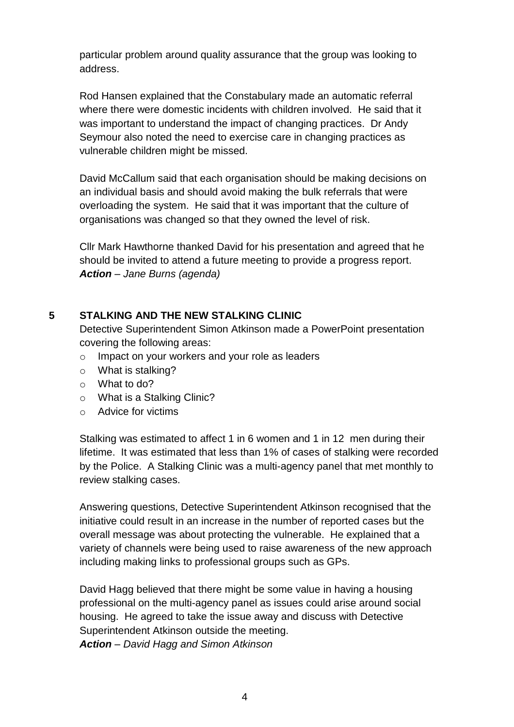particular problem around quality assurance that the group was looking to address.

Rod Hansen explained that the Constabulary made an automatic referral where there were domestic incidents with children involved. He said that it was important to understand the impact of changing practices. Dr Andy Seymour also noted the need to exercise care in changing practices as vulnerable children might be missed.

David McCallum said that each organisation should be making decisions on an individual basis and should avoid making the bulk referrals that were overloading the system. He said that it was important that the culture of organisations was changed so that they owned the level of risk.

Cllr Mark Hawthorne thanked David for his presentation and agreed that he should be invited to attend a future meeting to provide a progress report. *Action – Jane Burns (agenda)*

#### **5 STALKING AND THE NEW STALKING CLINIC**

Detective Superintendent Simon Atkinson made a PowerPoint presentation covering the following areas:

- o Impact on your workers and your role as leaders
- o What is stalking?
- o What to do?
- o What is a Stalking Clinic?
- o Advice for victims

Stalking was estimated to affect 1 in 6 women and 1 in 12 men during their lifetime. It was estimated that less than 1% of cases of stalking were recorded by the Police. A Stalking Clinic was a multi-agency panel that met monthly to review stalking cases.

Answering questions, Detective Superintendent Atkinson recognised that the initiative could result in an increase in the number of reported cases but the overall message was about protecting the vulnerable. He explained that a variety of channels were being used to raise awareness of the new approach including making links to professional groups such as GPs.

David Hagg believed that there might be some value in having a housing professional on the multi-agency panel as issues could arise around social housing. He agreed to take the issue away and discuss with Detective Superintendent Atkinson outside the meeting. *Action – David Hagg and Simon Atkinson*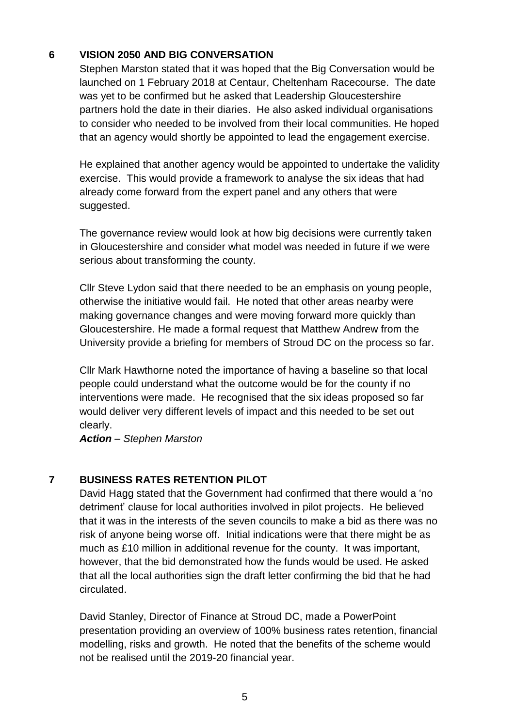# **6 VISION 2050 AND BIG CONVERSATION**

Stephen Marston stated that it was hoped that the Big Conversation would be launched on 1 February 2018 at Centaur, Cheltenham Racecourse. The date was yet to be confirmed but he asked that Leadership Gloucestershire partners hold the date in their diaries. He also asked individual organisations to consider who needed to be involved from their local communities. He hoped that an agency would shortly be appointed to lead the engagement exercise.

He explained that another agency would be appointed to undertake the validity exercise. This would provide a framework to analyse the six ideas that had already come forward from the expert panel and any others that were suggested.

The governance review would look at how big decisions were currently taken in Gloucestershire and consider what model was needed in future if we were serious about transforming the county.

Cllr Steve Lydon said that there needed to be an emphasis on young people, otherwise the initiative would fail. He noted that other areas nearby were making governance changes and were moving forward more quickly than Gloucestershire. He made a formal request that Matthew Andrew from the University provide a briefing for members of Stroud DC on the process so far.

Cllr Mark Hawthorne noted the importance of having a baseline so that local people could understand what the outcome would be for the county if no interventions were made. He recognised that the six ideas proposed so far would deliver very different levels of impact and this needed to be set out clearly.

*Action – Stephen Marston*

#### **7 BUSINESS RATES RETENTION PILOT**

David Hagg stated that the Government had confirmed that there would a 'no detriment' clause for local authorities involved in pilot projects. He believed that it was in the interests of the seven councils to make a bid as there was no risk of anyone being worse off. Initial indications were that there might be as much as £10 million in additional revenue for the county. It was important, however, that the bid demonstrated how the funds would be used. He asked that all the local authorities sign the draft letter confirming the bid that he had circulated.

David Stanley, Director of Finance at Stroud DC, made a PowerPoint presentation providing an overview of 100% business rates retention, financial modelling, risks and growth. He noted that the benefits of the scheme would not be realised until the 2019-20 financial year.